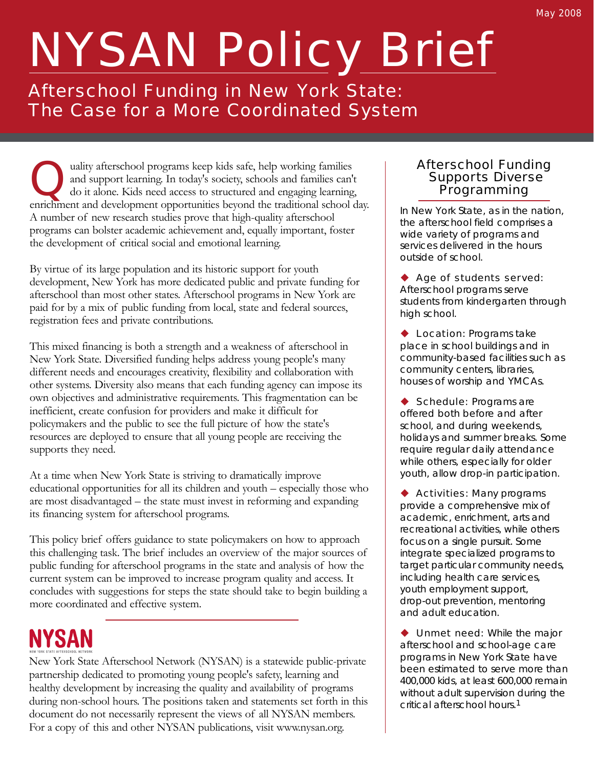# NYSAN Policy Brief

Afterschool Funding in New York State: The Case for a More Coordinated System

Quality afterschool programs keep kids safe, help working families<br>and support learning. In today's society, schools and families can't<br>do it alone. Kids need access to structured and engaging learning,<br>enrichment and deve and support learning. In today's society, schools and families can't enrichment and development opportunities beyond the traditional school day. A number of new research studies prove that high-quality afterschool programs can bolster academic achievement and, equally important, foster the development of critical social and emotional learning.

By virtue of its large population and its historic support for youth development, New York has more dedicated public and private funding for afterschool than most other states. Afterschool programs in New York are paid for by a mix of public funding from local, state and federal sources, registration fees and private contributions.

This mixed financing is both a strength and a weakness of afterschool in New York State. Diversified funding helps address young people's many different needs and encourages creativity, flexibility and collaboration with other systems. Diversity also means that each funding agency can impose its own objectives and administrative requirements. This fragmentation can be inefficient, create confusion for providers and make it difficult for policymakers and the public to see the full picture of how the state's resources are deployed to ensure that all young people are receiving the supports they need.

At a time when New York State is striving to dramatically improve educational opportunities for all its children and youth – especially those who are most disadvantaged – the state must invest in reforming and expanding its financing system for afterschool programs.

This policy brief offers guidance to state policymakers on how to approach this challenging task. The brief includes an overview of the major sources of public funding for afterschool programs in the state and analysis of how the current system can be improved to increase program quality and access. It concludes with suggestions for steps the state should take to begin building a more coordinated and effective system.

# **NYSAN**

New York State Afterschool Network (NYSAN) is a statewide public-private partnership dedicated to promoting young people's safety, learning and healthy development by increasing the quality and availability of programs during non-school hours. The positions taken and statements set forth in this document do not necessarily represent the views of all NYSAN members. For a copy of this and other NYSAN publications, visit www.nysan.org.

#### Afterschool Funding Supports Diverse Programming

In New York State, as in the nation, the afterschool field comprises a wide variety of programs and services delivered in the hours outside of school.

◆ Age of students served: Afterschool programs serve students from kindergarten through high school.

**Location: Programs take** place in school buildings and in community-based facilities such as community centers, libraries, houses of worship and YMCAs.

◆ Schedule: Programs are offered both before and after school, and during weekends, holidays and summer breaks. Some require regular daily attendance while others, especially for older youth, allow drop-in participation.

◆ Activities: Many programs provide a comprehensive mix of academic, enrichment, arts and recreational activities, while others focus on a single pursuit. Some integrate specialized programs to target particular community needs, including health care services, youth employment support, drop-out prevention, mentoring and adult education.

**Unmet need:** While the major afterschool and school-age care programs in New York State have been estimated to serve more than 400,000 kids, at least 600,000 remain without adult supervision during the critical afterschool hours.1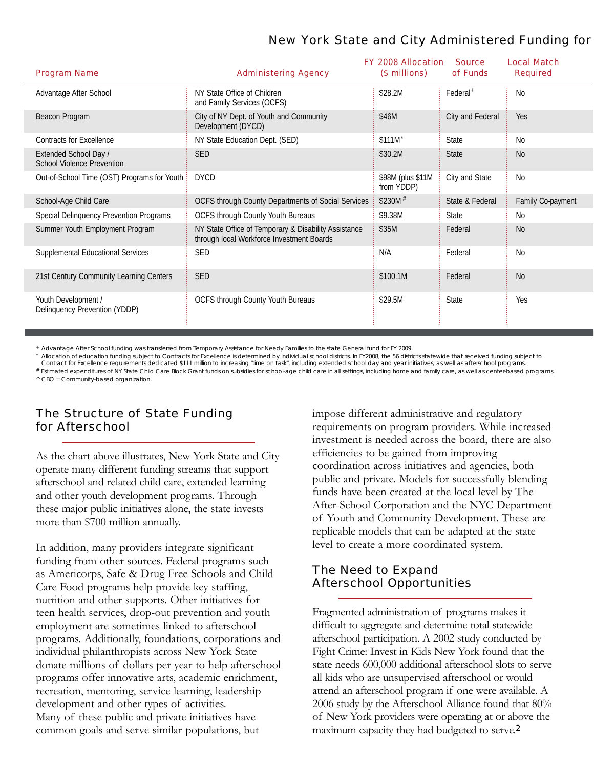# New York State and City Administered Funding for

| <b>Program Name</b>                                        | <b>Administering Agency</b>                                                                       | <b>FY 2008 Allocation</b><br>(\$ millions) | <b>Source</b><br>of Funds | <b>Local Match</b><br><b>Required</b> |
|------------------------------------------------------------|---------------------------------------------------------------------------------------------------|--------------------------------------------|---------------------------|---------------------------------------|
| Advantage After School                                     | NY State Office of Children<br>and Family Services (OCFS)                                         | \$28.2M                                    | Federal <sup>+</sup>      | <b>No</b>                             |
| Beacon Program                                             | City of NY Dept. of Youth and Community<br>Development (DYCD)                                     | \$46M                                      | City and Federal          | Yes                                   |
| <b>Contracts for Excellence</b>                            | NY State Education Dept. (SED)                                                                    | \$111M <sup>*</sup>                        | State                     | <b>No</b>                             |
| Extended School Day /<br><b>School Violence Prevention</b> | <b>SED</b>                                                                                        | \$30.2M                                    | <b>State</b>              | <b>No</b>                             |
| Out-of-School Time (OST) Programs for Youth                | <b>DYCD</b>                                                                                       | \$98M (plus \$11M)<br>from YDDP)           | City and State            | <b>No</b>                             |
| School-Age Child Care                                      | OCFS through County Departments of Social Services                                                | $$230M$ <sup>#</sup>                       | State & Federal           | Family Co-payment                     |
| Special Delinquency Prevention Programs                    | OCFS through County Youth Bureaus                                                                 | \$9.38M                                    | <b>State</b>              | <b>No</b>                             |
| Summer Youth Employment Program                            | NY State Office of Temporary & Disability Assistance<br>through local Workforce Investment Boards | \$35M                                      | Federal                   | <b>No</b>                             |
| Supplemental Educational Services                          | <b>SED</b>                                                                                        | N/A                                        | Federal                   | <b>No</b>                             |
| 21st Century Community Learning Centers                    | <b>SED</b>                                                                                        | \$100.1M                                   | Federal                   | <b>No</b>                             |
| Youth Development /<br>Delinquency Prevention (YDDP)       | OCFS through County Youth Bureaus                                                                 | \$29.5M                                    | State                     | Yes                                   |

+ Advantage After School funding was transferred from Temporary Assistance for Needy Families to the state General fund for FY 2009.

\* Allocation of education funding subject to Contracts for Excellence is determined by individual school districts. In FY2008, the 56 districts statewide that received funding subject to

Contract for Excellence requirements dedicated \$111 million to increasing "time on task", including extended school day and year initiatives, as well as afterschool programs # Estimated expenditures of NY State Child Care Block Grant funds on subsidies for school-age child care in all settings, including home and family care, as well as center-based programs.

^ CBO = Community-based organization.

### The Structure of State Funding for Afterschool

As the chart above illustrates, New York State and City operate many different funding streams that support afterschool and related child care, extended learning and other youth development programs. Through these major public initiatives alone, the state invests more than \$700 million annually.

In addition, many providers integrate significant funding from other sources. Federal programs such as Americorps, Safe & Drug Free Schools and Child Care Food programs help provide key staffing, nutrition and other supports. Other initiatives for teen health services, drop-out prevention and youth employment are sometimes linked to afterschool programs. Additionally, foundations, corporations and individual philanthropists across New York State donate millions of dollars per year to help afterschool programs offer innovative arts, academic enrichment, recreation, mentoring, service learning, leadership development and other types of activities. Many of these public and private initiatives have common goals and serve similar populations, but

impose different administrative and regulatory requirements on program providers. While increased investment is needed across the board, there are also efficiencies to be gained from improving coordination across initiatives and agencies, both public and private. Models for successfully blending funds have been created at the local level by The After-School Corporation and the NYC Department of Youth and Community Development. These are replicable models that can be adapted at the state level to create a more coordinated system.

# The Need to Expand Afterschool Opportunities

Fragmented administration of programs makes it difficult to aggregate and determine total statewide afterschool participation. A 2002 study conducted by Fight Crime: Invest in Kids New York found that the state needs 600,000 additional afterschool slots to serve all kids who are unsupervised afterschool or would attend an afterschool program if one were available. A 2006 study by the Afterschool Alliance found that 80% of New York providers were operating at or above the maximum capacity they had budgeted to serve.<sup>2</sup>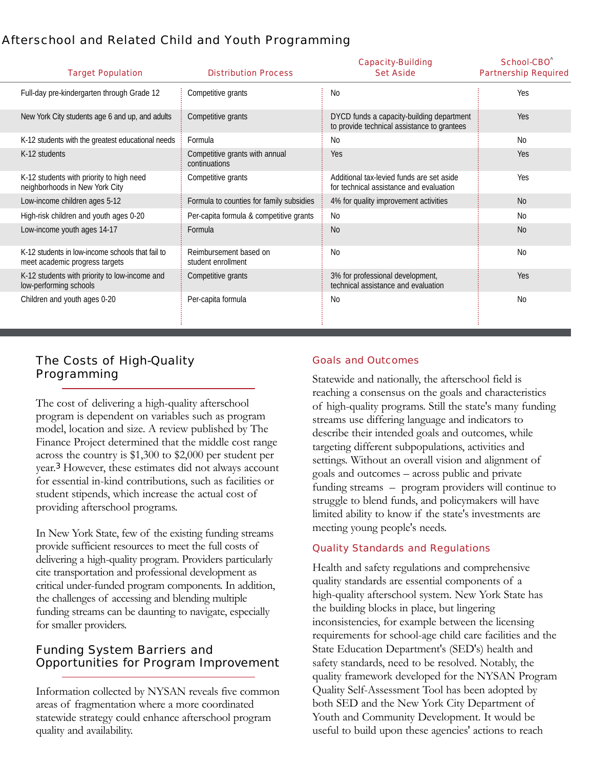# Afterschool and Related Child and Youth Programming

| <b>Target Population</b>                                                           | <b>Distribution Process</b>                     | <b>Capacity-Building</b><br><b>Set Aside</b>                                             | School-CBO<br><b>Partnership Required</b> |
|------------------------------------------------------------------------------------|-------------------------------------------------|------------------------------------------------------------------------------------------|-------------------------------------------|
| Full-day pre-kindergarten through Grade 12                                         | Competitive grants                              | <b>No</b>                                                                                | Yes                                       |
| New York City students age 6 and up, and adults                                    | Competitive grants                              | DYCD funds a capacity-building department<br>to provide technical assistance to grantees | Yes                                       |
| K-12 students with the greatest educational needs                                  | Formula                                         | No                                                                                       | <b>No</b>                                 |
| K-12 students                                                                      | Competitive grants with annual<br>continuations | <b>Yes</b>                                                                               | <b>Yes</b>                                |
| K-12 students with priority to high need<br>neighborhoods in New York City         | Competitive grants                              | Additional tax-levied funds are set aside<br>for technical assistance and evaluation     | Yes                                       |
| Low-income children ages 5-12                                                      | Formula to counties for family subsidies        | 4% for quality improvement activities                                                    | N <sub>0</sub>                            |
| High-risk children and youth ages 0-20                                             | Per-capita formula & competitive grants         | No                                                                                       | <b>No</b>                                 |
| Low-income youth ages 14-17                                                        | Formula                                         | <b>No</b>                                                                                | <b>No</b>                                 |
| K-12 students in low-income schools that fail to<br>meet academic progress targets | Reimbursement based on<br>student enrollment    | <b>No</b>                                                                                | <b>No</b>                                 |
| K-12 students with priority to low-income and<br>low-performing schools            | Competitive grants                              | 3% for professional development,<br>technical assistance and evaluation                  | <b>Yes</b>                                |
| Children and youth ages 0-20                                                       | Per-capita formula                              | <b>No</b>                                                                                | <b>No</b>                                 |

# The Costs of High-Quality Programming

The cost of delivering a high-quality afterschool program is dependent on variables such as program model, location and size. A review published by The Finance Project determined that the middle cost range across the country is \$1,300 to \$2,000 per student per year.<sup>3</sup> However, these estimates did not always account for essential in-kind contributions, such as facilities or student stipends, which increase the actual cost of providing afterschool programs.

In New York State, few of the existing funding streams provide sufficient resources to meet the full costs of delivering a high-quality program. Providers particularly cite transportation and professional development as critical under-funded program components. In addition, the challenges of accessing and blending multiple funding streams can be daunting to navigate, especially for smaller providers.

# Funding System Barriers and Opportunities for Program Improvement

Information collected by NYSAN reveals five common areas of fragmentation where a more coordinated statewide strategy could enhance afterschool program quality and availability.

#### Goals and Outcomes

Statewide and nationally, the afterschool field is reaching a consensus on the goals and characteristics of high-quality programs. Still the state's many funding streams use differing language and indicators to describe their intended goals and outcomes, while targeting different subpopulations, activities and settings. Without an overall vision and alignment of goals and outcomes – across public and private funding streams – program providers will continue to struggle to blend funds, and policymakers will have limited ability to know if the state's investments are meeting young people's needs.

#### Quality Standards and Regulations

Health and safety regulations and comprehensive quality standards are essential components of a high-quality afterschool system. New York State has the building blocks in place, but lingering inconsistencies, for example between the licensing requirements for school-age child care facilities and the State Education Department's (SED's) health and safety standards, need to be resolved. Notably, the quality framework developed for the NYSAN Program Quality Self-Assessment Tool has been adopted by both SED and the New York City Department of Youth and Community Development. It would be useful to build upon these agencies' actions to reach